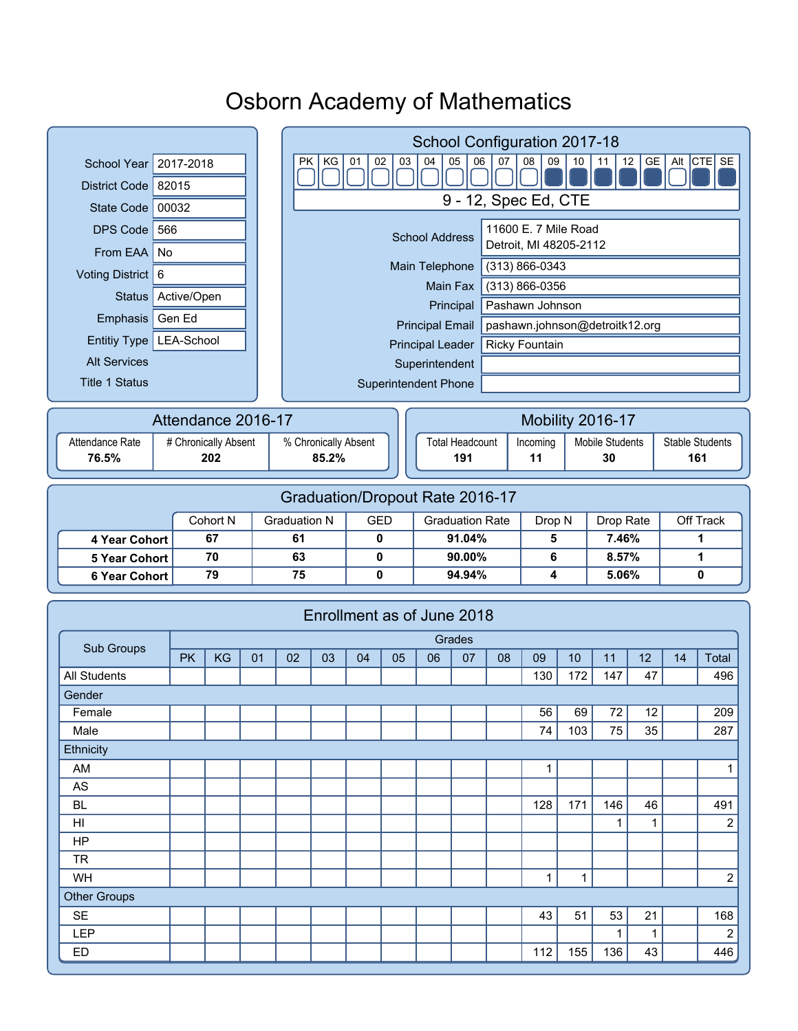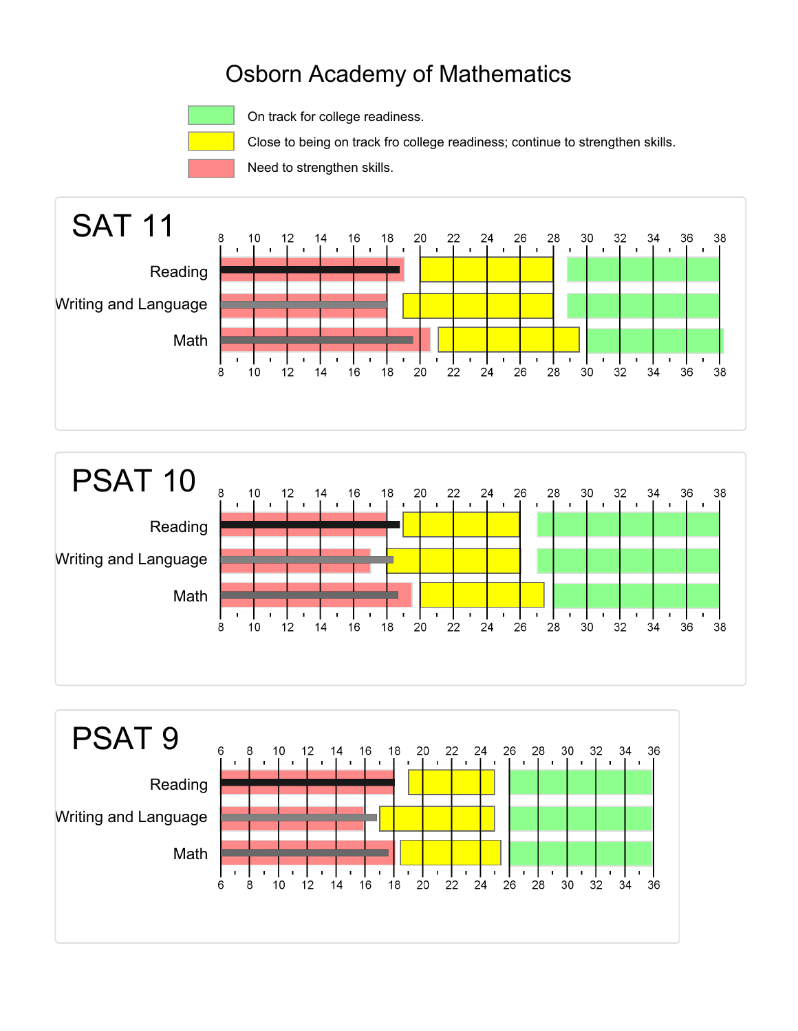

On track for college readiness.

Close to being on track fro college readiness; continue to strengthen skills.

Need to strengthen skills.





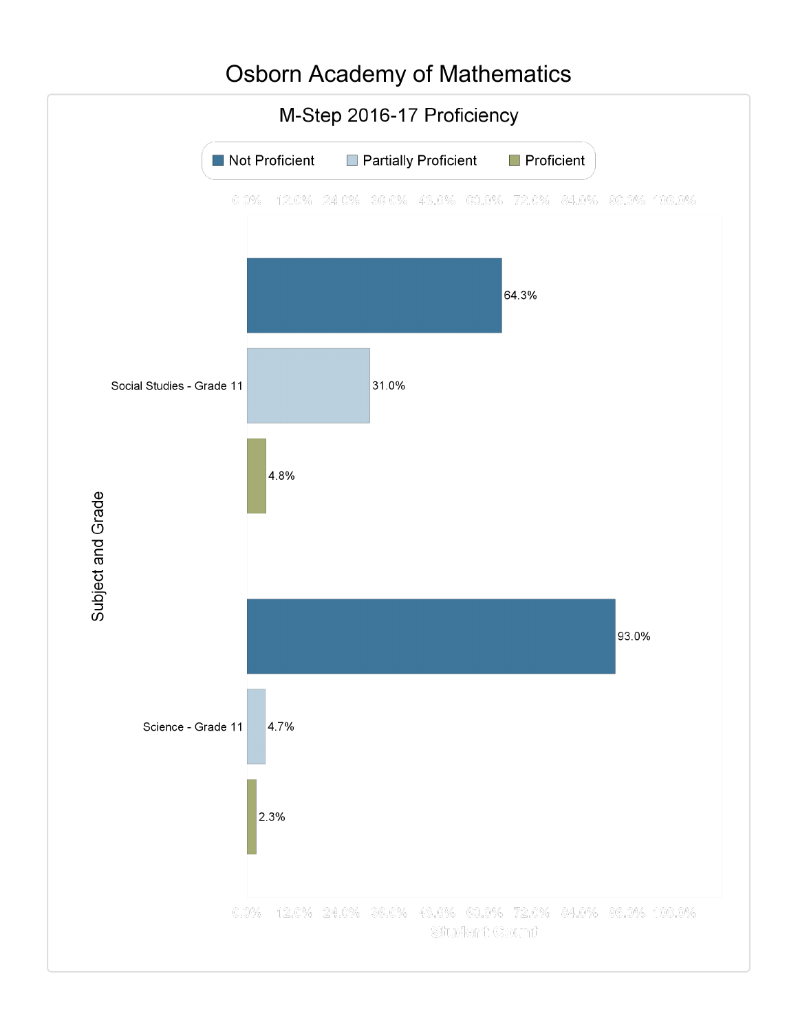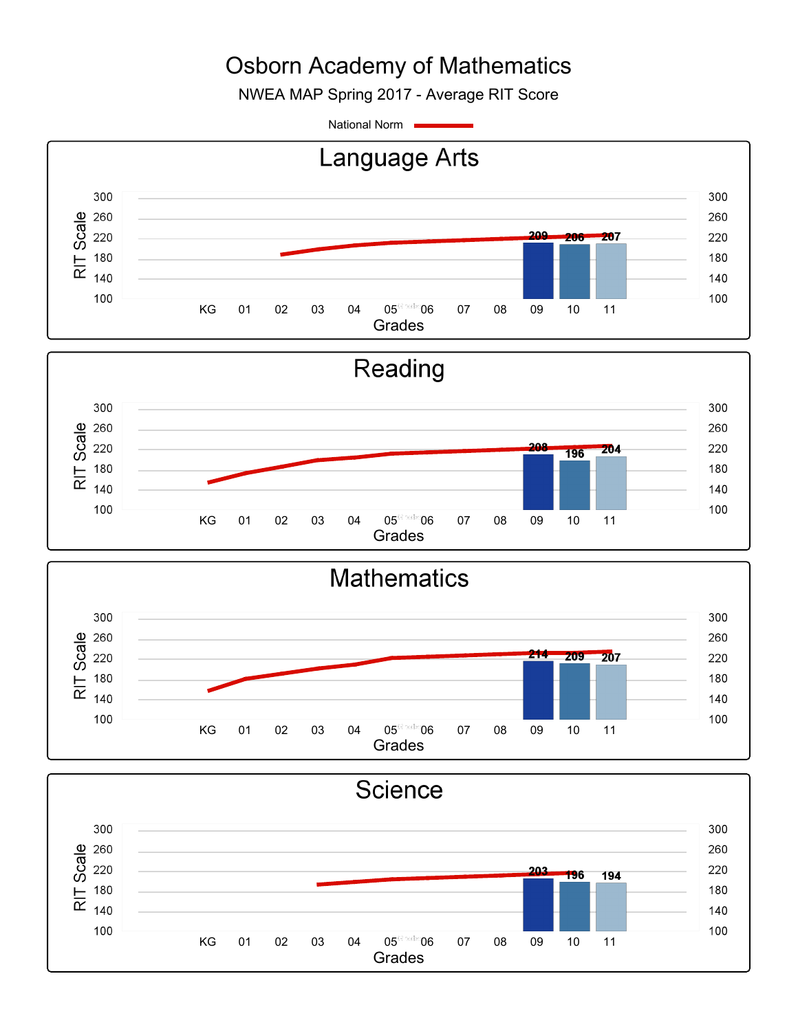NWEA MAP Spring 2017 - Average RIT Score

National Norm